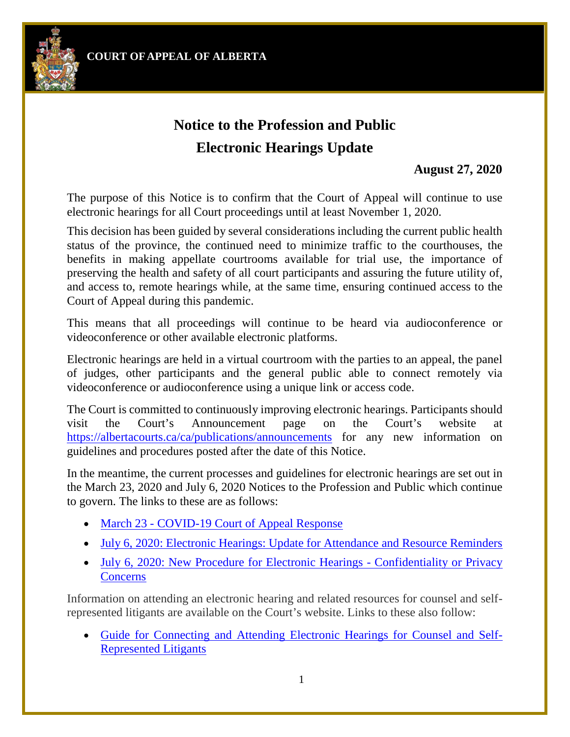**COURT OFAPPEAL OF ALBERTA**



## **Notice to the Profession and Public Electronic Hearings Update**

## **August 27, 2020**

The purpose of this Notice is to confirm that the Court of Appeal will continue to use electronic hearings for all Court proceedings until at least November 1, 2020.

This decision has been guided by several considerations including the current public health status of the province, the continued need to minimize traffic to the courthouses, the benefits in making appellate courtrooms available for trial use, the importance of preserving the health and safety of all court participants and assuring the future utility of, and access to, remote hearings while, at the same time, ensuring continued access to the Court of Appeal during this pandemic.

This means that all proceedings will continue to be heard via audioconference or videoconference or other available electronic platforms.

Electronic hearings are held in a virtual courtroom with the parties to an appeal, the panel of judges, other participants and the general public able to connect remotely via videoconference or audioconference using a unique link or access code.

The Court is committed to continuously improving electronic hearings. Participants should visit the Court's Announcement page on the Court's website at <https://albertacourts.ca/ca/publications/announcements> for any new information on guidelines and procedures posted after the date of this Notice.

In the meantime, the current processes and guidelines for electronic hearings are set out in the March 23, 2020 and July 6, 2020 Notices to the Profession and Public which continue to govern. The links to these are as follows:

- [March 23 COVID-19 Court of Appeal Response](https://www.albertacourts.ca/ca/publications/announcements/notice-to-public-and-profession---covid-19)
- [July 6, 2020: Electronic Hearings: Update for Attendance and Resource Reminders](https://www.albertacourts.ca/ca/publications/announcements/notice-to-the-profession-and-public---electronic-hearings---update-for-attendance-and-resource-reminders)
- [July 6, 2020: New Procedure for Electronic Hearings Confidentiality or Privacy](https://www.albertacourts.ca/ca/publications/announcements/notice-to-the-profession-and-public---new-procedure-for-electronic-hearings-confidentiality-or-privacy-concerns) **[Concerns](https://www.albertacourts.ca/ca/publications/announcements/notice-to-the-profession-and-public---new-procedure-for-electronic-hearings-confidentiality-or-privacy-concerns)**

Information on attending an electronic hearing and related resources for counsel and selfrepresented litigants are available on the Court's website. Links to these also follow:

• [Guide for Connecting and Attending Electronic Hearings for Counsel and Self-](https://albertacourts.ca/docs/default-source/ca/guide-for-connecting-and-attending-electronic-hearings-for-counsel-and-srl.pdf?sfvrsn=5f589380_2)[Represented Litigants](https://albertacourts.ca/docs/default-source/ca/guide-for-connecting-and-attending-electronic-hearings-for-counsel-and-srl.pdf?sfvrsn=5f589380_2)